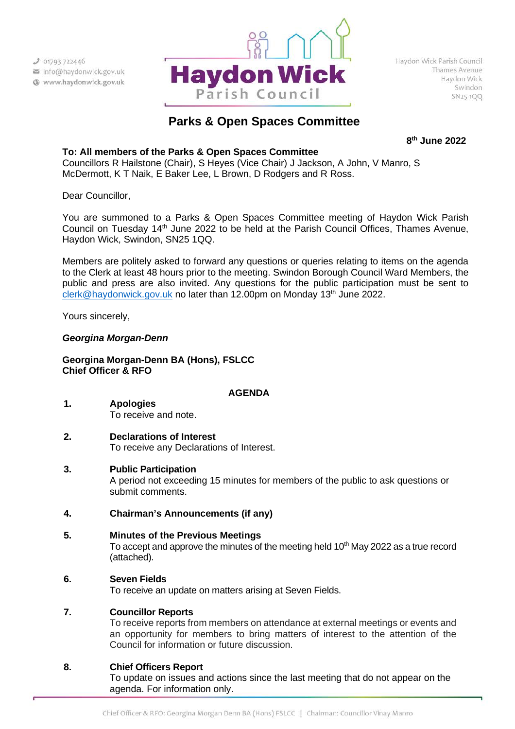

# **Parks & Open Spaces Committee**

**8th June 2022**

# **To: All members of the Parks & Open Spaces Committee**

Councillors R Hailstone (Chair), S Heyes (Vice Chair) J Jackson, A John, V Manro, S McDermott, K T Naik, E Baker Lee, L Brown, D Rodgers and R Ross.

Dear Councillor,

You are summoned to a Parks & Open Spaces Committee meeting of Haydon Wick Parish Council on Tuesday 14<sup>th</sup> June 2022 to be held at the Parish Council Offices, Thames Avenue, Haydon Wick, Swindon, SN25 1QQ.

Members are politely asked to forward any questions or queries relating to items on the agenda to the Clerk at least 48 hours prior to the meeting. Swindon Borough Council Ward Members, the public and press are also invited. Any questions for the public participation must be sent to [clerk@haydonwick.gov.uk](mailto:clerk@haydonwick.gov.uk) no later than 12.00pm on Monday 13<sup>th</sup> June 2022.

Yours sincerely,

# *Georgina Morgan-Denn*

**Georgina Morgan-Denn BA (Hons), FSLCC Chief Officer & RFO**

# **AGENDA**

- **1. Apologies** To receive and note.
- **2. Declarations of Interest** To receive any Declarations of Interest.
- **3. Public Participation**

A period not exceeding 15 minutes for members of the public to ask questions or submit comments.

- **4. Chairman's Announcements (if any)**
- **5. Minutes of the Previous Meetings**

To accept and approve the minutes of the meeting held  $10<sup>th</sup>$  May 2022 as a true record (attached).

# **6. Seven Fields**

To receive an update on matters arising at Seven Fields.

# **7. Councillor Reports**

To receive reports from members on attendance at external meetings or events and an opportunity for members to bring matters of interest to the attention of the Council for information or future discussion.

# **8. Chief Officers Report**

To update on issues and actions since the last meeting that do not appear on the agenda. For information only.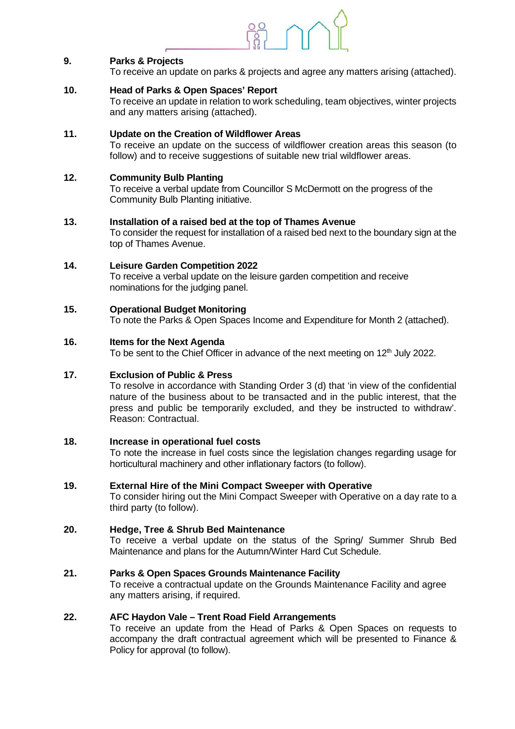

# **9. Parks & Projects**

To receive an update on parks & projects and agree any matters arising (attached).

## **10. Head of Parks & Open Spaces' Report**

To receive an update in relation to work scheduling, team objectives, winter projects and any matters arising (attached).

# **11. Update on the Creation of Wildflower Areas**

To receive an update on the success of wildflower creation areas this season (to follow) and to receive suggestions of suitable new trial wildflower areas.

## **12. Community Bulb Planting**

To receive a verbal update from Councillor S McDermott on the progress of the Community Bulb Planting initiative.

#### **13. Installation of a raised bed at the top of Thames Avenue**

To consider the request for installation of a raised bed next to the boundary sign at the top of Thames Avenue.

# **14. Leisure Garden Competition 2022**

To receive a verbal update on the leisure garden competition and receive nominations for the judging panel.

## **15. Operational Budget Monitoring**

To note the Parks & Open Spaces Income and Expenditure for Month 2 (attached).

## **16. Items for the Next Agenda**

To be sent to the Chief Officer in advance of the next meeting on 12<sup>th</sup> July 2022.

# **17. Exclusion of Public & Press**

To resolve in accordance with Standing Order 3 (d) that 'in view of the confidential nature of the business about to be transacted and in the public interest, that the press and public be temporarily excluded, and they be instructed to withdraw'. Reason: Contractual.

# **18. Increase in operational fuel costs**

To note the increase in fuel costs since the legislation changes regarding usage for horticultural machinery and other inflationary factors (to follow).

#### **19. External Hire of the Mini Compact Sweeper with Operative**

To consider hiring out the Mini Compact Sweeper with Operative on a day rate to a third party (to follow).

# **20. Hedge, Tree & Shrub Bed Maintenance**

To receive a verbal update on the status of the Spring/ Summer Shrub Bed Maintenance and plans for the Autumn/Winter Hard Cut Schedule.

# **21. Parks & Open Spaces Grounds Maintenance Facility**

To receive a contractual update on the Grounds Maintenance Facility and agree any matters arising, if required.

#### **22. AFC Haydon Vale – Trent Road Field Arrangements**

To receive an update from the Head of Parks & Open Spaces on requests to accompany the draft contractual agreement which will be presented to Finance & Policy for approval (to follow).